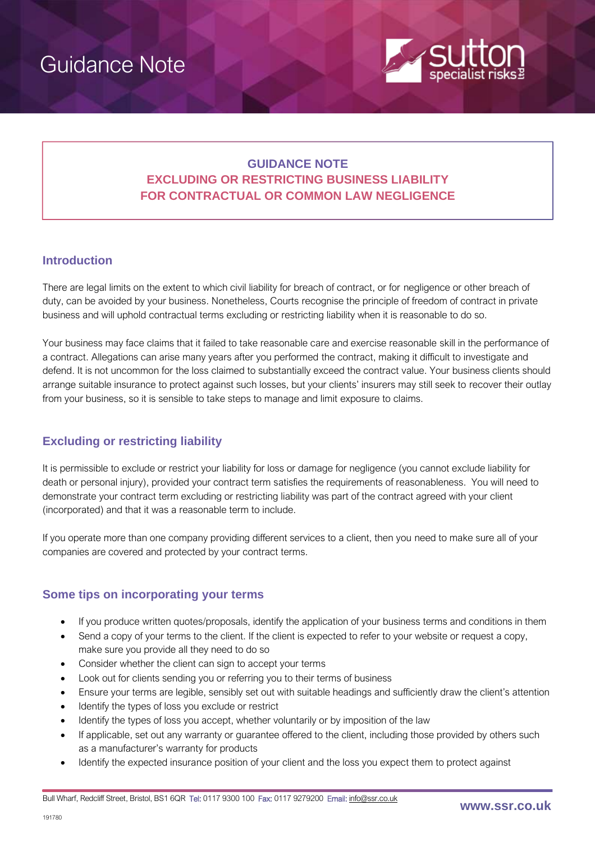

# **GUIDANCE NOTE EXCLUDING OR RESTRICTING BUSINESS LIABILITY FOR CONTRACTUAL OR COMMON LAW NEGLIGENCE**

## **Introduction**

There are legal limits on the extent to which civil liability for breach of contract, or for negligence or other breach of duty, can be avoided by your business. Nonetheless, Courts recognise the principle of freedom of contract in private business and will uphold contractual terms excluding or restricting liability when it is reasonable to do so.

Your business may face claims that it failed to take reasonable care and exercise reasonable skill in the performance of a contract. Allegations can arise many years after you performed the contract, making it difficult to investigate and defend. It is not uncommon for the loss claimed to substantially exceed the contract value. Your business clients should arrange suitable insurance to protect against such losses, but your clients' insurers may still seek to recover their outlay from your business, so it is sensible to take steps to manage and limit exposure to claims.

## **Excluding or restricting liability**

It is permissible to exclude or restrict your liability for loss or damage for negligence (you cannot exclude liability for death or personal injury), provided your contract term satisfies the requirements of reasonableness. You will need to demonstrate your contract term excluding or restricting liability was part of the contract agreed with your client (incorporated) and that it was a reasonable term to include.

If you operate more than one company providing different services to a client, then you need to make sure all of your companies are covered and protected by your contract terms.

## **Some tips on incorporating your terms**

- If you produce written quotes/proposals, identify the application of your business terms and conditions in them
- Send a copy of your terms to the client. If the client is expected to refer to your website or request a copy, make sure you provide all they need to do so
- Consider whether the client can sign to accept your terms
- Look out for clients sending you or referring you to their terms of business
- Ensure your terms are legible, sensibly set out with suitable headings and sufficiently draw the client's attention
- Identify the types of loss you exclude or restrict
- Identify the types of loss you accept, whether voluntarily or by imposition of the law
- If applicable, set out any warranty or guarantee offered to the client, including those provided by others such as a manufacturer's warranty for products
- Identify the expected insurance position of your client and the loss you expect them to protect against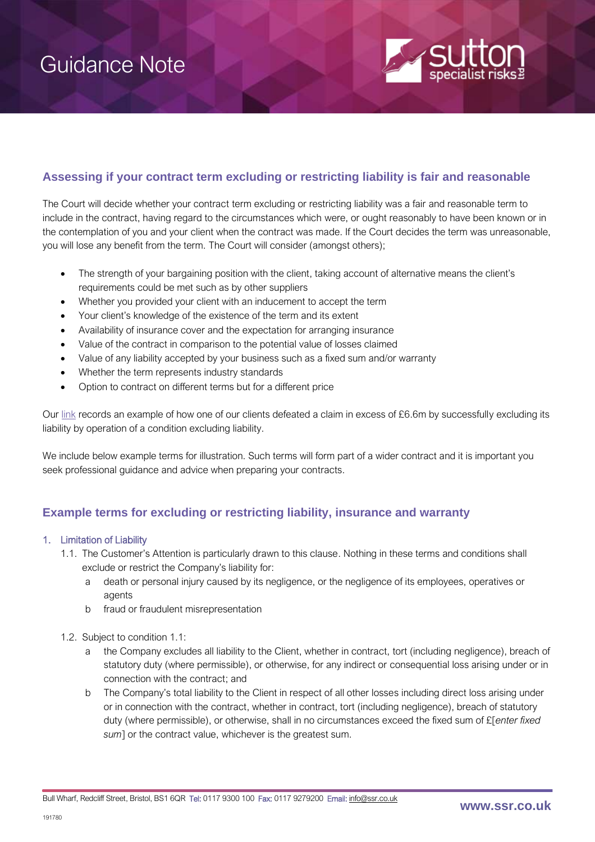

## **Assessing if your contract term excluding or restricting liability is fair and reasonable**

The Court will decide whether your contract term excluding or restricting liability was a fair and reasonable term to include in the contract, having regard to the circumstances which were, or ought reasonably to have been known or in the contemplation of you and your client when the contract was made. If the Court decides the term was unreasonable, you will lose any benefit from the term. The Court will consider (amongst others);

- The strength of your bargaining position with the client, taking account of alternative means the client's requirements could be met such as by other suppliers
- Whether you provided your client with an inducement to accept the term
- Your client's knowledge of the existence of the term and its extent
- Availability of insurance cover and the expectation for arranging insurance
- Value of the contract in comparison to the potential value of losses claimed
- Value of any liability accepted by your business such as a fixed sum and/or warranty
- Whether the term represents industry standards
- Option to contract on different terms but for a different price

Our [link](https://www.ssr.co.uk/news/post.php?s=2018-07-20-hall-fire-v-goodlife) records an example of how one of our clients defeated a claim in excess of £6.6m by successfully excluding its liability by operation of a condition excluding liability.

We include below example terms for illustration. Such terms will form part of a wider contract and it is important you seek professional guidance and advice when preparing your contracts.

## **Example terms for excluding or restricting liability, insurance and warranty**

#### 1. Limitation of Liability

- 1.1. The Customer's Attention is particularly drawn to this clause. Nothing in these terms and conditions shall exclude or restrict the Company's liability for:
	- a death or personal injury caused by its negligence, or the negligence of its employees, operatives or agents
	- b fraud or fraudulent misrepresentation
- 1.2. Subject to condition 1.1:
	- a the Company excludes all liability to the Client, whether in contract, tort (including negligence), breach of statutory duty (where permissible), or otherwise, for any indirect or consequential loss arising under or in connection with the contract; and
	- b The Company's total liability to the Client in respect of all other losses including direct loss arising under or in connection with the contract, whether in contract, tort (including negligence), breach of statutory duty (where permissible), or otherwise, shall in no circumstances exceed the fixed sum of £[*enter fixed sum*] or the contract value, whichever is the greatest sum.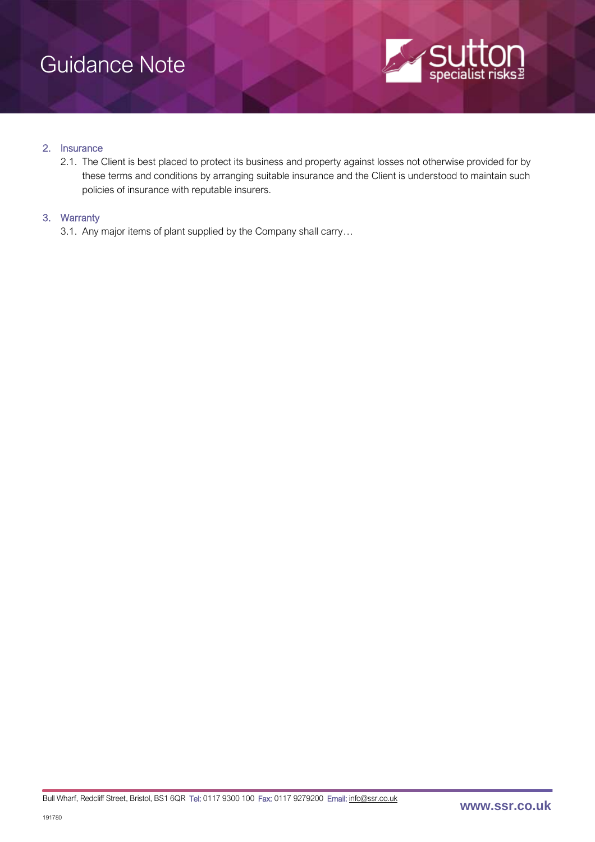

### 2. Insurance

2.1. The Client is best placed to protect its business and property against losses not otherwise provided for by these terms and conditions by arranging suitable insurance and the Client is understood to maintain such policies of insurance with reputable insurers.

#### 3. Warranty

3.1. Any major items of plant supplied by the Company shall carry…